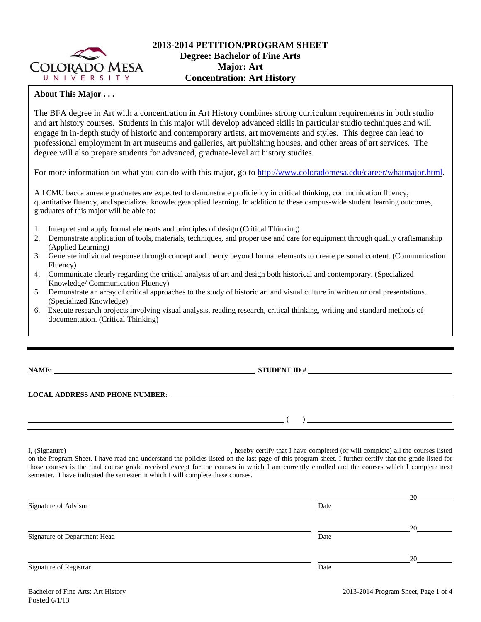

## **About This Major . . .**

The BFA degree in Art with a concentration in Art History combines strong curriculum requirements in both studio and art history courses. Students in this major will develop advanced skills in particular studio techniques and will engage in in-depth study of historic and contemporary artists, art movements and styles. This degree can lead to professional employment in art museums and galleries, art publishing houses, and other areas of art services. The degree will also prepare students for advanced, graduate-level art history studies.

For more information on what you can do with this major, go to http://www.coloradomesa.edu/career/whatmajor.html.

All CMU baccalaureate graduates are expected to demonstrate proficiency in critical thinking, communication fluency, quantitative fluency, and specialized knowledge/applied learning. In addition to these campus-wide student learning outcomes, graduates of this major will be able to:

- 1. Interpret and apply formal elements and principles of design (Critical Thinking)
- 2. Demonstrate application of tools, materials, techniques, and proper use and care for equipment through quality craftsmanship (Applied Learning)
- 3. Generate individual response through concept and theory beyond formal elements to create personal content. (Communication Fluency)
- 4. Communicate clearly regarding the critical analysis of art and design both historical and contemporary. (Specialized Knowledge/ Communication Fluency)
- 5. Demonstrate an array of critical approaches to the study of historic art and visual culture in written or oral presentations. (Specialized Knowledge)
- 6. Execute research projects involving visual analysis, reading research, critical thinking, writing and standard methods of documentation. (Critical Thinking)

**NAME: STUDENT ID #** 

## **LOCAL ADDRESS AND PHONE NUMBER:**

I, (Signature) , hereby certify that I have completed (or will complete) all the courses listed on the Program Sheet. I have read and understand the policies listed on the last page of this program sheet. I further certify that the grade listed for those courses is the final course grade received except for the courses in which I am currently enrolled and the courses which I complete next semester. I have indicated the semester in which I will complete these courses.

|                              |      | 20 |
|------------------------------|------|----|
| Signature of Advisor         | Date |    |
|                              |      |    |
|                              |      | 20 |
| Signature of Department Head | Date |    |
|                              |      |    |
|                              |      | 20 |
| Signature of Registrar       | Date |    |
|                              |      |    |

 **( )**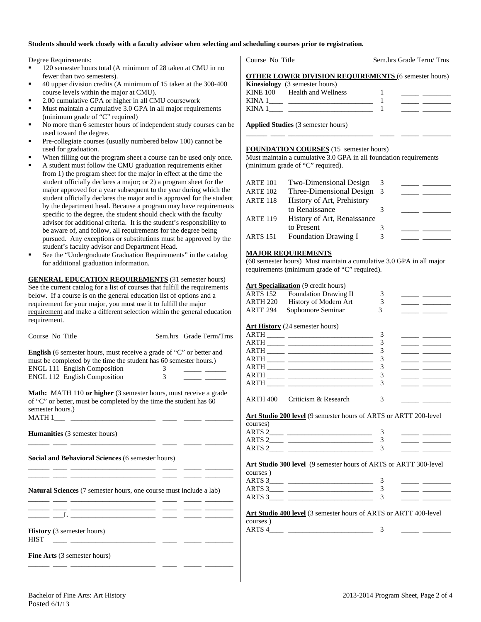#### **Students should work closely with a faculty advisor when selecting and scheduling courses prior to registration.**

Degree Requirements:

- <sup>120</sup> semester hours total (A minimum of 28 taken at CMU in no fewer than two semesters).
- 40 upper division credits (A minimum of 15 taken at the 300-400 course levels within the major at CMU).
- 2.00 cumulative GPA or higher in all CMU coursework
- Must maintain a cumulative 3.0 GPA in all major requirements (minimum grade of "C" required)
- No more than 6 semester hours of independent study courses can be used toward the degree.
- Pre-collegiate courses (usually numbered below 100) cannot be used for graduation.
- When filling out the program sheet a course can be used only once.
- A student must follow the CMU graduation requirements either from 1) the program sheet for the major in effect at the time the student officially declares a major; or 2) a program sheet for the major approved for a year subsequent to the year during which the student officially declares the major and is approved for the student by the department head. Because a program may have requirements specific to the degree, the student should check with the faculty advisor for additional criteria. It is the student's responsibility to be aware of, and follow, all requirements for the degree being pursued. Any exceptions or substitutions must be approved by the student's faculty advisor and Department Head.
- See the "Undergraduate Graduation Requirements" in the catalog for additional graduation information.

**GENERAL EDUCATION REQUIREMENTS** (31 semester hours) See the current catalog for a list of courses that fulfill the requirements below. If a course is on the general education list of options and a requirement for your major, you must use it to fulfill the major requirement and make a different selection within the general education requirement.

Course No Title Sem.hrs Grade Term/Trns

| <b>English</b> (6 semester hours, must receive a grade of "C" or better and |   |  |  |  |  |
|-----------------------------------------------------------------------------|---|--|--|--|--|
| must be completed by the time the student has 60 semester hours.)           |   |  |  |  |  |
| <b>ENGL 111 English Composition</b>                                         | 3 |  |  |  |  |
| <b>ENGL 112 English Composition</b>                                         | 3 |  |  |  |  |

**Math:** MATH 110 or higher (3 semester hours, must receive a grade of "C" or better, must be completed by the time the student has 60 semester hours.)  $MATH 1$ <sub>\_\_\_\_\_</sub> \_

\_\_\_\_\_\_ \_\_\_\_ \_\_\_\_\_\_\_\_\_\_\_\_\_\_\_\_\_\_\_\_\_\_\_\_ \_\_\_\_ \_\_\_\_\_ \_\_\_\_\_\_\_\_

\_\_\_\_\_\_ \_\_\_\_ \_\_\_\_\_\_\_\_\_\_\_\_\_\_\_\_\_\_\_\_\_\_\_\_ \_\_\_\_ \_\_\_\_\_ \_\_\_\_\_\_\_\_

**Humanities** (3 semester hours)

**Social and Behavioral Sciences** (6 semester hours)

\_\_\_\_\_\_ \_\_\_\_ \_\_\_\_\_\_\_\_\_\_\_\_\_\_\_\_\_\_\_\_\_\_\_\_ \_\_\_\_ \_\_\_\_\_ \_\_\_\_\_\_\_\_

**Natural Sciences** (7 semester hours, one course must include a lab)

| and the control of the control of |  |  |  |
|-----------------------------------|--|--|--|

\_\_\_\_\_\_ \_\_\_\_ \_\_\_\_\_\_\_\_\_\_\_\_\_\_\_\_\_\_\_\_\_\_\_\_ \_\_\_\_ \_\_\_\_\_ \_\_\_\_\_\_\_\_

**History** (3 semester hours)  $HIST$   $\_\_$ 

**Fine Arts** (3 semester hours)

Course No Title Sem.hrs Grade Term/ Trns

| <b>OTHER LOWER DIVISION REQUIREMENTS (6 semester hours)</b> |  |
|-------------------------------------------------------------|--|
| $\bf{Kinetic}$ $(3$ semester hours)                         |  |

|          | $\sum_{i=1}^{n}$    |  |
|----------|---------------------|--|
| KINE 100 | Health and Wellness |  |
| KINA 1   |                     |  |
| KINA     |                     |  |
|          |                     |  |

\_\_\_\_\_\_ \_\_\_\_ \_\_\_\_\_\_\_\_\_\_\_\_\_\_\_\_\_\_\_\_\_\_\_\_ \_\_\_\_ \_\_\_\_\_ \_\_\_\_\_\_\_\_

**Applied Studies** (3 semester hours)

#### **FOUNDATION COURSES** (15 semester hours)

Must maintain a cumulative 3.0 GPA in all foundation requirements (minimum grade of "C" required).

| <b>ARTE 101</b> | Two-Dimensional Design      |     |  |
|-----------------|-----------------------------|-----|--|
| <b>ARTE 102</b> | Three-Dimensional Design    | - 3 |  |
| <b>ARTE 118</b> | History of Art, Prehistory  |     |  |
|                 | to Renaissance              |     |  |
| <b>ARTE 119</b> | History of Art, Renaissance |     |  |
|                 | to Present                  |     |  |
| <b>ARTS 151</b> | <b>Foundation Drawing I</b> |     |  |
|                 |                             |     |  |

#### **MAJOR REQUIREMENTS**

(60 semester hours) Must maintain a cumulative 3.0 GPA in all major requirements (minimum grade of "C" required).

#### Art Specialization (9 credit hours)

| <b>ARTS 152</b> | <b>Foundation Drawing II</b>                                     | 3                       |                                                                                                                                                                                                                                      |
|-----------------|------------------------------------------------------------------|-------------------------|--------------------------------------------------------------------------------------------------------------------------------------------------------------------------------------------------------------------------------------|
| ARTH 220        | History of Modern Art                                            | 3                       |                                                                                                                                                                                                                                      |
| <b>ARTE 294</b> | Sophomore Seminar                                                | 3                       |                                                                                                                                                                                                                                      |
|                 | <b>Art History</b> (24 semester hours)                           |                         |                                                                                                                                                                                                                                      |
|                 |                                                                  | 3                       |                                                                                                                                                                                                                                      |
|                 |                                                                  | 3                       | <u> 1989 - John Barn Barnson, mars and de la partie de la partie de la partie de la partie de la partie de la par</u>                                                                                                                |
|                 |                                                                  | 3                       | <u> 1989 - John Barnett, francuski politik (</u>                                                                                                                                                                                     |
|                 |                                                                  | 3                       | <u> De Barbara (Barbara Barbara)</u>                                                                                                                                                                                                 |
|                 |                                                                  | 3                       |                                                                                                                                                                                                                                      |
|                 |                                                                  | 3                       | <u> 1989 - Johann Barnett, fransk kongre</u>                                                                                                                                                                                         |
|                 |                                                                  | 3                       | <u> 1989 - John Barn Barn, amerikansk politiker (</u>                                                                                                                                                                                |
|                 |                                                                  |                         |                                                                                                                                                                                                                                      |
|                 | ARTH 400 Criticism & Research                                    | 3                       | <u> De Carlos de Carlos de Carlos de Carlos de Carlos de Carlos de Carlos de Carlos de Carlos de Carlos de Carlos de Carlos de Carlos de Carlos de Carlos de Carlos de Carlos de Carlos de Carlos de Carlos de Carlos de Carlos </u> |
| courses)        |                                                                  | 3<br>3<br>$\mathcal{R}$ | <u> The Common School and The Common School and The Common School and The Common School and The Common School and</u><br><u> 1989 - Andrea Station Books, american provident all</u>                                                 |
|                 | Art Studio 300 level (9 semester hours of ARTS or ARTT 300-level |                         |                                                                                                                                                                                                                                      |
| courses)        |                                                                  |                         |                                                                                                                                                                                                                                      |
|                 |                                                                  | 3                       | <u> De Carlos de Carlos de Carlos de Carlos de Carlos de Carlos de Carlos de Carlos de Carlos de Carlos de Carlos de Ca</u>                                                                                                          |
|                 |                                                                  | 3                       |                                                                                                                                                                                                                                      |
|                 |                                                                  | 3                       | <u> 1989 - Jan Barnett, mars et al. 19</u>                                                                                                                                                                                           |
| courses)        | Art Studio 400 level (3 semester hours of ARTS or ARTT 400-level |                         |                                                                                                                                                                                                                                      |
|                 |                                                                  | 3                       |                                                                                                                                                                                                                                      |
|                 |                                                                  |                         |                                                                                                                                                                                                                                      |
|                 |                                                                  |                         |                                                                                                                                                                                                                                      |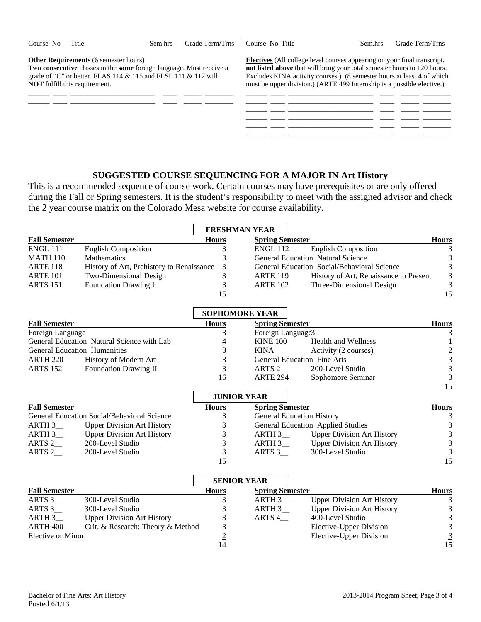| Course No | Title                                                                                | Sem.hrs                                                                                                                                                  | Grade Term/Trns | Course No Title                                                                                                                                                                                                                                                                                                 | Sem.hrs | Grade Term/Trns |
|-----------|--------------------------------------------------------------------------------------|----------------------------------------------------------------------------------------------------------------------------------------------------------|-----------------|-----------------------------------------------------------------------------------------------------------------------------------------------------------------------------------------------------------------------------------------------------------------------------------------------------------------|---------|-----------------|
|           | <b>Other Requirements</b> (6 semester hours)<br><b>NOT</b> fulfill this requirement. | Two <b>consecutive</b> classes in the <b>same</b> foreign language. Must receive a<br>grade of "C" or better. FLAS 114 $&$ 115 and FLSL 111 $&$ 112 will |                 | <b>Electives</b> (All college level courses appearing on your final transcript,<br>not listed above that will bring your total semester hours to 120 hours.<br>Excludes KINA activity courses.) (8 semester hours at least 4 of which<br>must be upper division.) (ARTE 499 Internship is a possible elective.) |         |                 |
|           |                                                                                      |                                                                                                                                                          |                 |                                                                                                                                                                                                                                                                                                                 |         |                 |
|           |                                                                                      |                                                                                                                                                          |                 |                                                                                                                                                                                                                                                                                                                 |         |                 |
|           |                                                                                      |                                                                                                                                                          |                 |                                                                                                                                                                                                                                                                                                                 |         |                 |

# **SUGGESTED COURSE SEQUENCING FOR A MAJOR IN Art History**

This is a recommended sequence of course work. Certain courses may have prerequisites or are only offered during the Fall or Spring semesters. It is the student's responsibility to meet with the assigned advisor and check the 2 year course matrix on the Colorado Mesa website for course availability.

|                                     |                                             |                | <b>FRESHMAN YEAR</b>    |                                             |                                                                   |
|-------------------------------------|---------------------------------------------|----------------|-------------------------|---------------------------------------------|-------------------------------------------------------------------|
| <b>Fall Semester</b>                |                                             | <b>Hours</b>   | <b>Spring Semester</b>  |                                             | <b>Hours</b>                                                      |
| <b>ENGL 111</b>                     | <b>English Composition</b>                  | 3              | <b>ENGL 112</b>         | <b>English Composition</b>                  | 3                                                                 |
| <b>MATH 110</b>                     | Mathematics                                 | 3              |                         | <b>General Education Natural Science</b>    |                                                                   |
| <b>ARTE 118</b>                     | History of Art, Prehistory to Renaissance   | 3              |                         | General Education Social/Behavioral Science | $\begin{array}{c} 3 \\ 3 \\ 3 \\ \underline{3} \\ 15 \end{array}$ |
| <b>ARTE 101</b>                     | Two-Dimensional Design                      | $\mathfrak{Z}$ | <b>ARTE 119</b>         | History of Art, Renaissance to Present      |                                                                   |
| <b>ARTS 151</b>                     | <b>Foundation Drawing I</b>                 | $\overline{3}$ | <b>ARTE 102</b>         | Three-Dimensional Design                    |                                                                   |
|                                     |                                             | 15             |                         |                                             |                                                                   |
|                                     |                                             |                | <b>SOPHOMORE YEAR</b>   |                                             |                                                                   |
| <b>Fall Semester</b>                |                                             | <b>Hours</b>   | <b>Spring Semester</b>  |                                             | <b>Hours</b>                                                      |
| Foreign Language                    |                                             | 3              | Foreign Language3       |                                             | 3                                                                 |
|                                     | General Education Natural Science with Lab  | 4              | <b>KINE 100</b>         | <b>Health and Wellness</b>                  | 1                                                                 |
| <b>General Education Humanities</b> |                                             | 3              | <b>KINA</b>             | Activity (2 courses)                        |                                                                   |
| <b>ARTH 220</b>                     | History of Modern Art                       | 3              |                         | <b>General Education Fine Arts</b>          | $\begin{array}{c} 2 \\ 3 \\ 3 \\ \underline{3} \\ 15 \end{array}$ |
| <b>ARTS 152</b>                     | Foundation Drawing II                       | $\overline{3}$ | ARTS $2$                | 200-Level Studio                            |                                                                   |
|                                     |                                             | 16             | <b>ARTE 294</b>         | Sophomore Seminar                           |                                                                   |
|                                     |                                             |                |                         |                                             |                                                                   |
|                                     |                                             |                | <b>JUNIOR YEAR</b>      |                                             |                                                                   |
| <b>Fall Semester</b>                |                                             | <b>Hours</b>   | <b>Spring Semester</b>  |                                             | <b>Hours</b>                                                      |
|                                     | General Education Social/Behavioral Science | 3              |                         | <b>General Education History</b>            | $\sqrt{3}$                                                        |
| $ARTH3$ <sub>___</sub>              | <b>Upper Division Art History</b>           | 3              |                         | General Education Applied Studies           | $\begin{array}{c} 3 \\ 3 \\ 3 \\ \underline{3} \\ 15 \end{array}$ |
| $ARTH3$ <sub>___</sub>              | <b>Upper Division Art History</b>           | 3              | $ARTH 3$ <sub>___</sub> | <b>Upper Division Art History</b>           |                                                                   |
| ARTS <sub>2</sub>                   | 200-Level Studio                            | 3              | ARTH 3                  | <b>Upper Division Art History</b>           |                                                                   |
| ARTS <sub>2</sub>                   | 200-Level Studio                            | $\overline{3}$ | ARTS $3$                | 300-Level Studio                            |                                                                   |
|                                     |                                             | 15             |                         |                                             |                                                                   |
|                                     |                                             |                | <b>SENIOR YEAR</b>      |                                             |                                                                   |
| <b>Fall Semester</b>                |                                             | <b>Hours</b>   | <b>Spring Semester</b>  |                                             | <b>Hours</b>                                                      |
| ARTS 3_                             | 300-Level Studio                            | 3              | ARTH 3_                 | <b>Upper Division Art History</b>           | $\mathfrak{Z}$                                                    |
| ARTS $3$                            | 300-Level Studio                            | 3              | ARTH $3$                | <b>Upper Division Art History</b>           | $\mathfrak{Z}$                                                    |
| ARTH <sub>3</sub> _                 | <b>Upper Division Art History</b>           | 3              | ARTS <sub>4</sub>       | 400-Level Studio                            | $\mathfrak{Z}$                                                    |
| ARTH <sub>400</sub>                 | Crit. & Research: Theory & Method           |                |                         | Elective-Upper Division                     |                                                                   |
| <b>Elective or Minor</b>            |                                             | $\frac{3}{2}$  |                         | <b>Elective-Upper Division</b>              | $\begin{array}{r} 3 \\ \underline{3} \\ 15 \end{array}$           |
|                                     |                                             | 14             |                         |                                             |                                                                   |

14

15